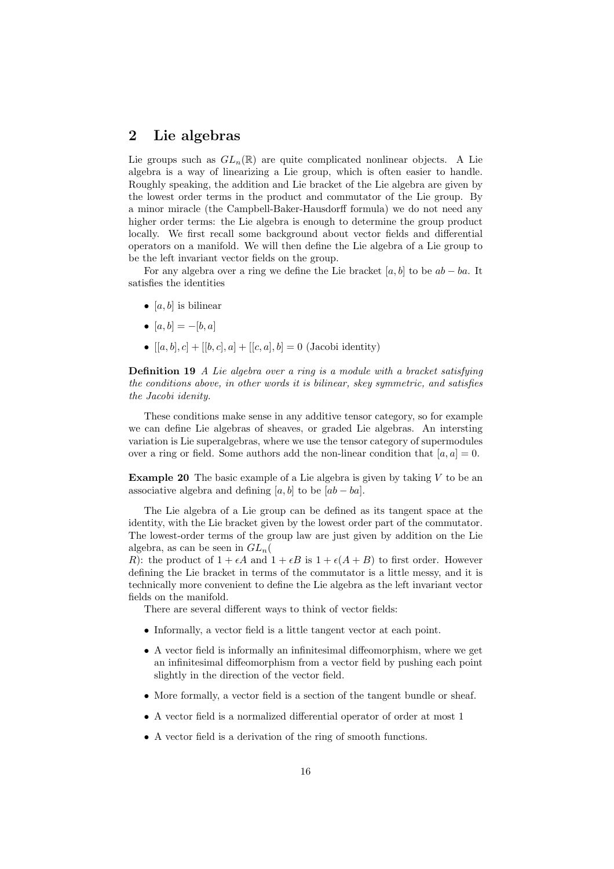## 2 Lie algebras

Lie groups such as  $GL_n(\mathbb{R})$  are quite complicated nonlinear objects. A Lie algebra is a way of linearizing a Lie group, which is often easier to handle. Roughly speaking, the addition and Lie bracket of the Lie algebra are given by the lowest order terms in the product and commutator of the Lie group. By a minor miracle (the Campbell-Baker-Hausdorff formula) we do not need any higher order terms: the Lie algebra is enough to determine the group product locally. We first recall some background about vector fields and differential operators on a manifold. We will then define the Lie algebra of a Lie group to be the left invariant vector fields on the group.

For any algebra over a ring we define the Lie bracket [a, b] to be  $ab - ba$ . It satisfies the identities

- [a, b] is bilinear
- $[a, b] = -[b, a]$
- $[a, b], c] + [[b, c], a] + [[c, a], b] = 0$  (Jacobi identity)

Definition 19 A Lie algebra over a ring is a module with a bracket satisfying the conditions above, in other words it is bilinear, skey symmetric, and satisfies the Jacobi idenity.

These conditions make sense in any additive tensor category, so for example we can define Lie algebras of sheaves, or graded Lie algebras. An intersting variation is Lie superalgebras, where we use the tensor category of supermodules over a ring or field. Some authors add the non-linear condition that  $[a, a] = 0$ .

**Example 20** The basic example of a Lie algebra is given by taking  $V$  to be an associative algebra and defining  $[a, b]$  to be  $[ab - ba]$ .

The Lie algebra of a Lie group can be defined as its tangent space at the identity, with the Lie bracket given by the lowest order part of the commutator. The lowest-order terms of the group law are just given by addition on the Lie algebra, as can be seen in  $GL_n($ 

R): the product of  $1 + \epsilon A$  and  $1 + \epsilon B$  is  $1 + \epsilon (A + B)$  to first order. However defining the Lie bracket in terms of the commutator is a little messy, and it is technically more convenient to define the Lie algebra as the left invariant vector fields on the manifold.

There are several different ways to think of vector fields:

- Informally, a vector field is a little tangent vector at each point.
- A vector field is informally an infinitesimal diffeomorphism, where we get an infinitesimal diffeomorphism from a vector field by pushing each point slightly in the direction of the vector field.
- More formally, a vector field is a section of the tangent bundle or sheaf.
- A vector field is a normalized differential operator of order at most 1
- A vector field is a derivation of the ring of smooth functions.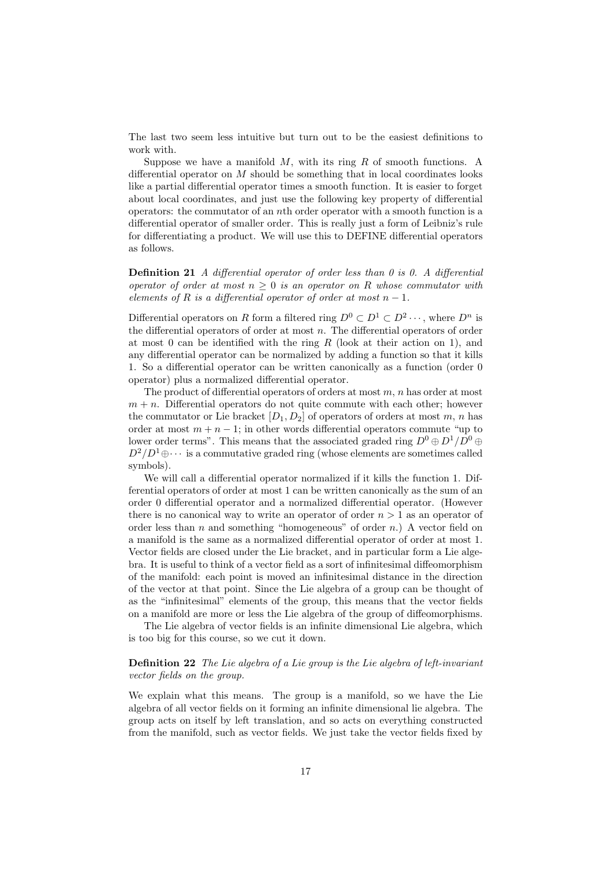The last two seem less intuitive but turn out to be the easiest definitions to work with.

Suppose we have a manifold  $M$ , with its ring  $R$  of smooth functions. A differential operator on  $M$  should be something that in local coordinates looks like a partial differential operator times a smooth function. It is easier to forget about local coordinates, and just use the following key property of differential operators: the commutator of an nth order operator with a smooth function is a differential operator of smaller order. This is really just a form of Leibniz's rule for differentiating a product. We will use this to DEFINE differential operators as follows.

**Definition 21** A differential operator of order less than 0 is 0. A differential operator of order at most  $n \geq 0$  is an operator on R whose commutator with elements of R is a differential operator of order at most  $n-1$ .

Differential operators on R form a filtered ring  $D^0 \subset D^1 \subset D^2 \cdots$ , where  $D^n$  is the differential operators of order at most  $n$ . The differential operators of order at most 0 can be identified with the ring  $R$  (look at their action on 1), and any differential operator can be normalized by adding a function so that it kills 1. So a differential operator can be written canonically as a function (order 0 operator) plus a normalized differential operator.

The product of differential operators of orders at most  $m$ ,  $n$  has order at most  $m + n$ . Differential operators do not quite commute with each other; however the commutator or Lie bracket  $[D_1, D_2]$  of operators of orders at most m, n has order at most  $m + n - 1$ ; in other words differential operators commute "up to lower order terms". This means that the associated graded ring  $D^0\oplus D^1/D^0\oplus D^1$  $D^2/D^1\oplus\cdots$  is a commutative graded ring (whose elements are sometimes called symbols).

We will call a differential operator normalized if it kills the function 1. Differential operators of order at most 1 can be written canonically as the sum of an order 0 differential operator and a normalized differential operator. (However there is no canonical way to write an operator of order  $n > 1$  as an operator of order less than  $n$  and something "homogeneous" of order  $n$ .) A vector field on a manifold is the same as a normalized differential operator of order at most 1. Vector fields are closed under the Lie bracket, and in particular form a Lie algebra. It is useful to think of a vector field as a sort of infinitesimal diffeomorphism of the manifold: each point is moved an infinitesimal distance in the direction of the vector at that point. Since the Lie algebra of a group can be thought of as the "infinitesimal" elements of the group, this means that the vector fields on a manifold are more or less the Lie algebra of the group of diffeomorphisms.

The Lie algebra of vector fields is an infinite dimensional Lie algebra, which is too big for this course, so we cut it down.

## Definition 22 The Lie algebra of a Lie group is the Lie algebra of left-invariant vector fields on the group.

We explain what this means. The group is a manifold, so we have the Lie algebra of all vector fields on it forming an infinite dimensional lie algebra. The group acts on itself by left translation, and so acts on everything constructed from the manifold, such as vector fields. We just take the vector fields fixed by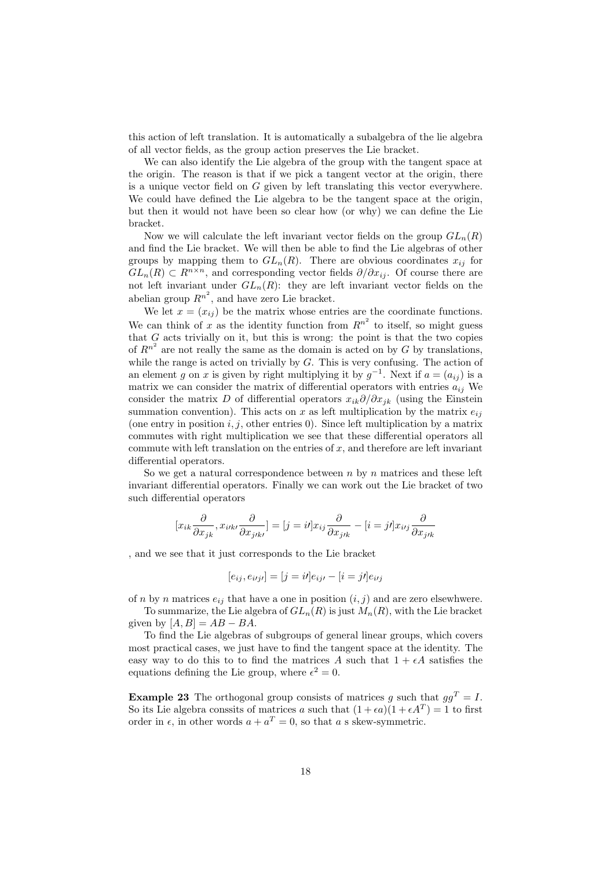this action of left translation. It is automatically a subalgebra of the lie algebra of all vector fields, as the group action preserves the Lie bracket.

We can also identify the Lie algebra of the group with the tangent space at the origin. The reason is that if we pick a tangent vector at the origin, there is a unique vector field on G given by left translating this vector everywhere. We could have defined the Lie algebra to be the tangent space at the origin, but then it would not have been so clear how (or why) we can define the Lie bracket.

Now we will calculate the left invariant vector fields on the group  $GL_n(R)$ and find the Lie bracket. We will then be able to find the Lie algebras of other groups by mapping them to  $GL_n(R)$ . There are obvious coordinates  $x_{ij}$  for  $GL_n(R) \subset R^{n \times n}$ , and corresponding vector fields  $\partial/\partial x_{ij}$ . Of course there are not left invariant under  $GL_n(R)$ : they are left invariant vector fields on the abelian group  $R^{n^2}$ , and have zero Lie bracket.

We let  $x = (x_{ij})$  be the matrix whose entries are the coordinate functions. We can think of x as the identity function from  $R^{n^2}$  to itself, so might guess that  $G$  acts trivially on it, but this is wrong: the point is that the two copies of  $R^{n^2}$  are not really the same as the domain is acted on by G by translations, while the range is acted on trivially by  $G$ . This is very confusing. The action of an element g on x is given by right multiplying it by  $g^{-1}$ . Next if  $a = (a_{ij})$  is a matrix we can consider the matrix of differential operators with entries  $a_{ij}$  We consider the matrix D of differential operators  $x_{ik}\partial/\partial x_{jk}$  (using the Einstein summation convention). This acts on x as left multiplication by the matrix  $e_{ij}$ (one entry in position  $i, j$ , other entries 0). Since left multiplication by a matrix commutes with right multiplication we see that these differential operators all commute with left translation on the entries of  $x$ , and therefore are left invariant differential operators.

So we get a natural correspondence between  $n$  by  $n$  matrices and these left invariant differential operators. Finally we can work out the Lie bracket of two such differential operators

$$
[x_{ik}\frac{\partial}{\partial x_{jk}}, x_{i\prime k\prime}\frac{\partial}{\partial x_{j\prime k\prime}}] = [j = i]x_{ij}\frac{\partial}{\partial x_{j\prime k}} - [i = j]x_{i\prime j}\frac{\partial}{\partial x_{j\prime k}}
$$

, and we see that it just corresponds to the Lie bracket

$$
[e_{ij}, e_{i\prime j\prime}] = [j = i\prime]e_{ij\prime} - [i = j\prime]e_{i\prime j}
$$

of n by n matrices  $e_{ij}$  that have a one in position  $(i, j)$  and are zero elsewhwere.

To summarize, the Lie algebra of  $GL_n(R)$  is just  $M_n(R)$ , with the Lie bracket given by  $[A, B] = AB - BA$ .

To find the Lie algebras of subgroups of general linear groups, which covers most practical cases, we just have to find the tangent space at the identity. The easy way to do this to to find the matrices A such that  $1 + \epsilon A$  satisfies the equations defining the Lie group, where  $\epsilon^2 = 0$ .

**Example 23** The orthogonal group consists of matrices q such that  $qq^T = I$ . So its Lie algebra conssits of matrices a such that  $(1 + \epsilon a)(1 + \epsilon A^T) = 1$  to first order in  $\epsilon$ , in other words  $a + a^T = 0$ , so that a s skew-symmetric.